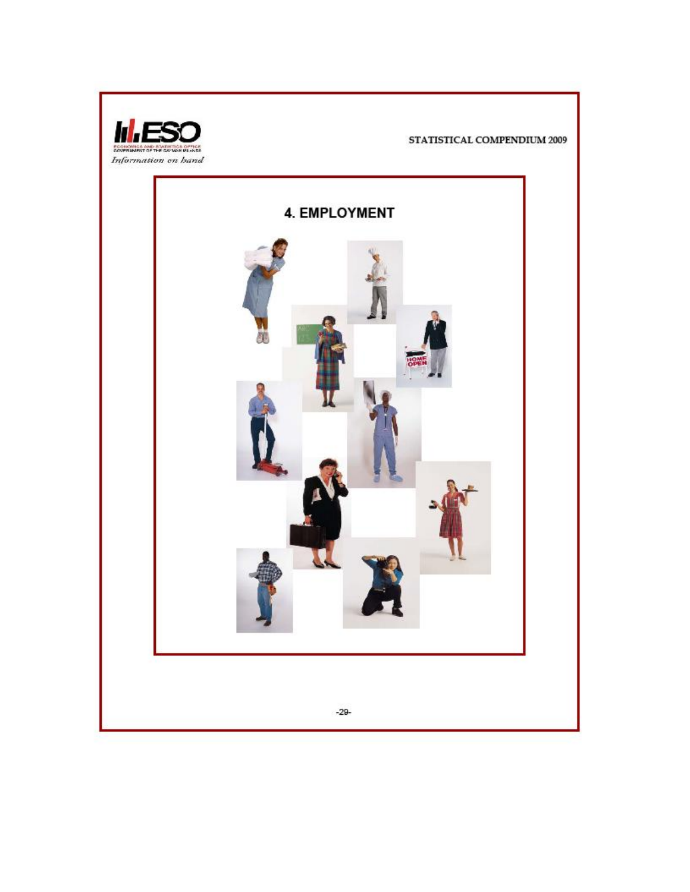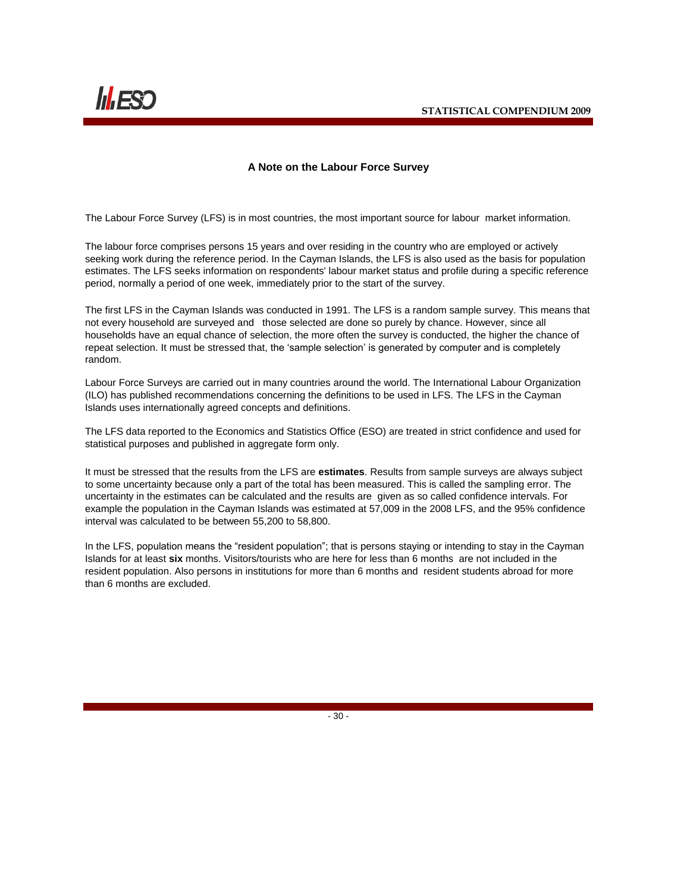

#### **A Note on the Labour Force Survey**

The Labour Force Survey (LFS) is in most countries, the most important source for labour market information.

The labour force comprises persons 15 years and over residing in the country who are employed or actively seeking work during the reference period. In the Cayman Islands, the LFS is also used as the basis for population estimates. The LFS seeks information on respondents' labour market status and profile during a specific reference period, normally a period of one week, immediately prior to the start of the survey.

The first LFS in the Cayman Islands was conducted in 1991. The LFS is a random sample survey. This means that not every household are surveyed and those selected are done so purely by chance. However, since all households have an equal chance of selection, the more often the survey is conducted, the higher the chance of repeat selection. It must be stressed that, the "sample selection" is generated by computer and is completely random.

Labour Force Surveys are carried out in many countries around the world. The International Labour Organization (ILO) has published recommendations concerning the definitions to be used in LFS. The LFS in the Cayman Islands uses internationally agreed concepts and definitions.

The LFS data reported to the Economics and Statistics Office (ESO) are treated in strict confidence and used for statistical purposes and published in aggregate form only.

It must be stressed that the results from the LFS are **estimates**. Results from sample surveys are always subject to some uncertainty because only a part of the total has been measured. This is called the sampling error. The uncertainty in the estimates can be calculated and the results are given as so called confidence intervals. For example the population in the Cayman Islands was estimated at 57,009 in the 2008 LFS, and the 95% confidence interval was calculated to be between 55,200 to 58,800.

In the LFS, population means the "resident population"; that is persons staying or intending to stay in the Cayman Islands for at least **six** months. Visitors/tourists who are here for less than 6 months are not included in the resident population. Also persons in institutions for more than 6 months and resident students abroad for more than 6 months are excluded.

 $- 30 -$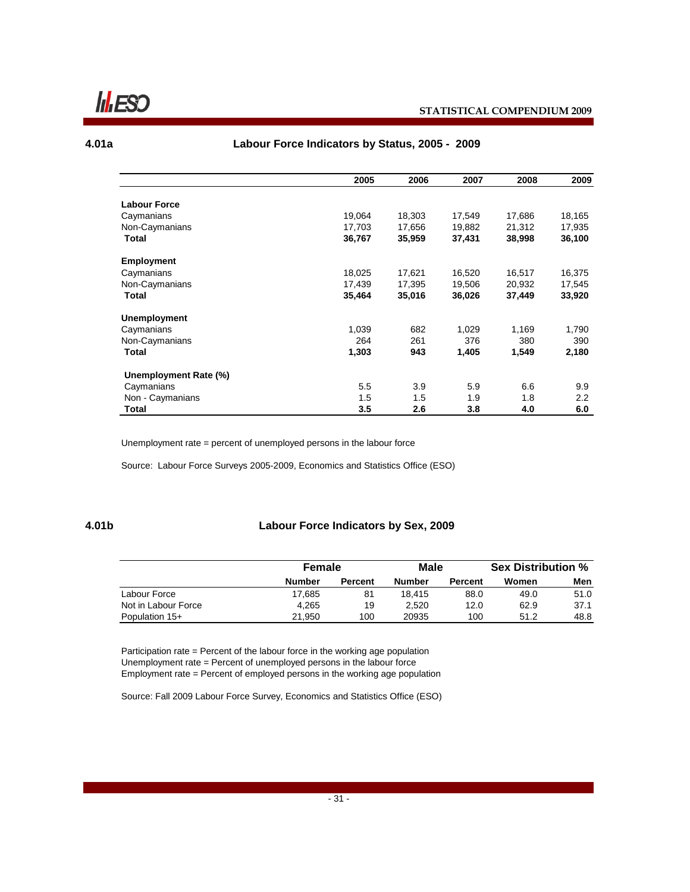**Infrascer** 

#### **4.01a**

#### **Labour Force Indicators by Status, 2005 - 2009**

|                       | 2005   | 2006   | 2007   | 2008   | 2009   |
|-----------------------|--------|--------|--------|--------|--------|
|                       |        |        |        |        |        |
| <b>Labour Force</b>   |        |        |        |        |        |
| Caymanians            | 19,064 | 18,303 | 17,549 | 17,686 | 18,165 |
| Non-Caymanians        | 17,703 | 17,656 | 19.882 | 21,312 | 17,935 |
| Total                 | 36,767 | 35,959 | 37,431 | 38,998 | 36,100 |
| <b>Employment</b>     |        |        |        |        |        |
| Caymanians            | 18,025 | 17,621 | 16,520 | 16,517 | 16,375 |
| Non-Caymanians        | 17,439 | 17,395 | 19,506 | 20,932 | 17,545 |
| Total                 | 35,464 | 35,016 | 36,026 | 37,449 | 33,920 |
| <b>Unemployment</b>   |        |        |        |        |        |
| Caymanians            | 1,039  | 682    | 1,029  | 1,169  | 1,790  |
| Non-Caymanians        | 264    | 261    | 376    | 380    | 390    |
| Total                 | 1,303  | 943    | 1,405  | 1,549  | 2,180  |
| Unemployment Rate (%) |        |        |        |        |        |
| Caymanians            | 5.5    | 3.9    | 5.9    | 6.6    | 9.9    |
| Non - Caymanians      | 1.5    | 1.5    | 1.9    | 1.8    | 2.2    |
| Total                 | 3.5    | 2.6    | 3.8    | 4.0    | 6.0    |

Unemployment rate = percent of unemployed persons in the labour force

Source: Labour Force Surveys 2005-2009, Economics and Statistics Office (ESO)

#### **4.01b**

#### **Labour Force Indicators by Sex, 2009**

|                     |               | Female         |               | Male           | <b>Sex Distribution %</b> |      |
|---------------------|---------------|----------------|---------------|----------------|---------------------------|------|
|                     | <b>Number</b> | <b>Percent</b> | <b>Number</b> | <b>Percent</b> | Women                     | Men  |
| Labour Force        | 17.685        | 81             | 18.415        | 88.0           | 49.0                      | 51.0 |
| Not in Labour Force | 4.265         | 19             | 2.520         | 12.0           | 62.9                      | 37.1 |
| Population 15+      | 21.950        | 100            | 20935         | 100            | 51.2                      | 48.8 |

Participation rate = Percent of the labour force in the working age population Unemployment rate = Percent of unemployed persons in the labour force Employment rate = Percent of employed persons in the working age population

Source: Fall 2009 Labour Force Survey, Economics and Statistics Office (ESO)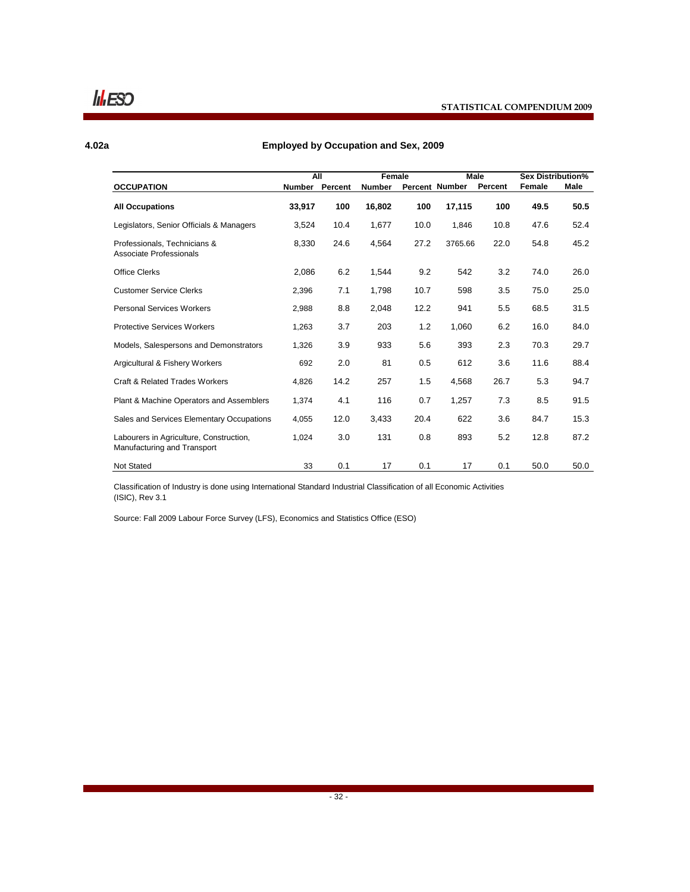$$ 

#### **4.02a**

#### **Employed by Occupation and Sex, 2009**

|                                                                        | <b>All</b> |         | Female        |      | Male           |         | <b>Sex Distribution%</b> |      |
|------------------------------------------------------------------------|------------|---------|---------------|------|----------------|---------|--------------------------|------|
| <b>OCCUPATION</b>                                                      | Number     | Percent | <b>Number</b> |      | Percent Number | Percent | Female                   | Male |
| <b>All Occupations</b>                                                 | 33,917     | 100     | 16,802        | 100  | 17,115         | 100     | 49.5                     | 50.5 |
| Legislators, Senior Officials & Managers                               | 3,524      | 10.4    | 1,677         | 10.0 | 1,846          | 10.8    | 47.6                     | 52.4 |
| Professionals, Technicians &<br>Associate Professionals                | 8,330      | 24.6    | 4,564         | 27.2 | 3765.66        | 22.0    | 54.8                     | 45.2 |
| <b>Office Clerks</b>                                                   | 2,086      | 6.2     | 1,544         | 9.2  | 542            | 3.2     | 74.0                     | 26.0 |
| <b>Customer Service Clerks</b>                                         | 2,396      | 7.1     | 1,798         | 10.7 | 598            | 3.5     | 75.0                     | 25.0 |
| <b>Personal Services Workers</b>                                       | 2.988      | 8.8     | 2,048         | 12.2 | 941            | 5.5     | 68.5                     | 31.5 |
| <b>Protective Services Workers</b>                                     | 1,263      | 3.7     | 203           | 1.2  | 1,060          | 6.2     | 16.0                     | 84.0 |
| Models, Salespersons and Demonstrators                                 | 1,326      | 3.9     | 933           | 5.6  | 393            | 2.3     | 70.3                     | 29.7 |
| Argicultural & Fishery Workers                                         | 692        | 2.0     | 81            | 0.5  | 612            | 3.6     | 11.6                     | 88.4 |
| <b>Craft &amp; Related Trades Workers</b>                              | 4.826      | 14.2    | 257           | 1.5  | 4,568          | 26.7    | 5.3                      | 94.7 |
| Plant & Machine Operators and Assemblers                               | 1,374      | 4.1     | 116           | 0.7  | 1,257          | 7.3     | 8.5                      | 91.5 |
| Sales and Services Elementary Occupations                              | 4,055      | 12.0    | 3,433         | 20.4 | 622            | 3.6     | 84.7                     | 15.3 |
| Labourers in Agriculture, Construction,<br>Manufacturing and Transport | 1,024      | 3.0     | 131           | 0.8  | 893            | 5.2     | 12.8                     | 87.2 |
| <b>Not Stated</b>                                                      | 33         | 0.1     | 17            | 0.1  | 17             | 0.1     | 50.0                     | 50.0 |

Classification of Industry is done using International Standard Industrial Classification of all Economic Activities (ISIC), Rev 3.1

Source: Fall 2009 Labour Force Survey (LFS), Economics and Statistics Office (ESO)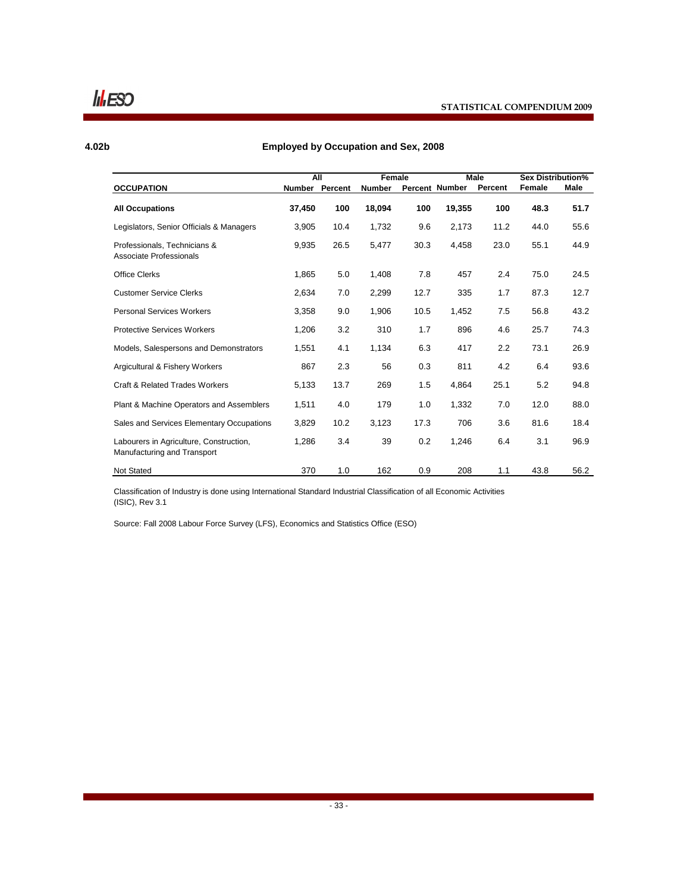$I_1$ **ESO** 

#### **STATISTICAL COMPENDIUM 2009**

#### **4.02b**

#### **Employed by Occupation and Sex, 2008**

|                                                                        | All    |                | Female        |      |                | Male    | <b>Sex Distribution%</b> |      |
|------------------------------------------------------------------------|--------|----------------|---------------|------|----------------|---------|--------------------------|------|
| <b>OCCUPATION</b>                                                      |        | Number Percent | <b>Number</b> |      | Percent Number | Percent | Female                   | Male |
| <b>All Occupations</b>                                                 | 37,450 | 100            | 18,094        | 100  | 19,355         | 100     | 48.3                     | 51.7 |
| Legislators, Senior Officials & Managers                               | 3,905  | 10.4           | 1,732         | 9.6  | 2,173          | 11.2    | 44.0                     | 55.6 |
| Professionals. Technicians &<br>Associate Professionals                | 9,935  | 26.5           | 5,477         | 30.3 | 4,458          | 23.0    | 55.1                     | 44.9 |
| <b>Office Clerks</b>                                                   | 1,865  | 5.0            | 1,408         | 7.8  | 457            | 2.4     | 75.0                     | 24.5 |
| <b>Customer Service Clerks</b>                                         | 2,634  | 7.0            | 2,299         | 12.7 | 335            | 1.7     | 87.3                     | 12.7 |
| <b>Personal Services Workers</b>                                       | 3,358  | 9.0            | 1,906         | 10.5 | 1,452          | 7.5     | 56.8                     | 43.2 |
| <b>Protective Services Workers</b>                                     | 1,206  | 3.2            | 310           | 1.7  | 896            | 4.6     | 25.7                     | 74.3 |
| Models, Salespersons and Demonstrators                                 | 1,551  | 4.1            | 1,134         | 6.3  | 417            | 2.2     | 73.1                     | 26.9 |
| Argicultural & Fishery Workers                                         | 867    | 2.3            | 56            | 0.3  | 811            | 4.2     | 6.4                      | 93.6 |
| <b>Craft &amp; Related Trades Workers</b>                              | 5,133  | 13.7           | 269           | 1.5  | 4,864          | 25.1    | 5.2                      | 94.8 |
| <b>Plant &amp; Machine Operators and Assemblers</b>                    | 1,511  | 4.0            | 179           | 1.0  | 1,332          | 7.0     | 12.0                     | 88.0 |
| Sales and Services Elementary Occupations                              | 3,829  | 10.2           | 3,123         | 17.3 | 706            | 3.6     | 81.6                     | 18.4 |
| Labourers in Agriculture, Construction,<br>Manufacturing and Transport | 1,286  | 3.4            | 39            | 0.2  | 1,246          | 6.4     | 3.1                      | 96.9 |
| <b>Not Stated</b>                                                      | 370    | 1.0            | 162           | 0.9  | 208            | 1.1     | 43.8                     | 56.2 |

Classification of Industry is done using International Standard Industrial Classification of all Economic Activities (ISIC), Rev 3.1

Source: Fall 2008 Labour Force Survey (LFS), Economics and Statistics Office (ESO)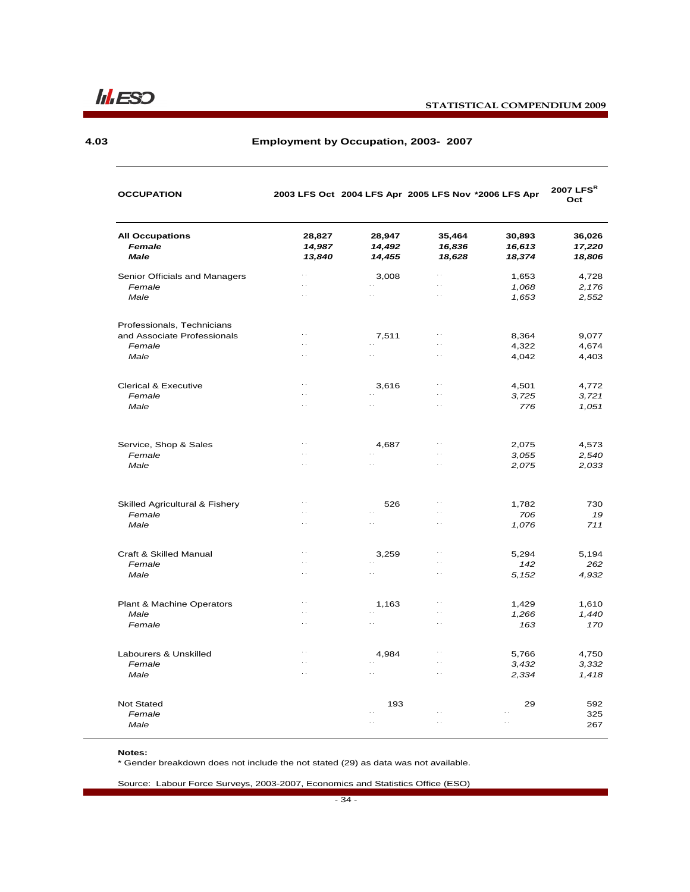

### **STATISTICAL COMPENDIUM 2009**

#### **4.03**

#### **Employment by Occupation, 2003- 2007**

| <b>OCCUPATION</b>                                         |                                              |                            | 2003 LFS Oct 2004 LFS Apr 2005 LFS Nov *2006 LFS Apr |                            | 2007 $LFS^R$<br>Oct        |
|-----------------------------------------------------------|----------------------------------------------|----------------------------|------------------------------------------------------|----------------------------|----------------------------|
| <b>All Occupations</b><br>Female<br><b>Male</b>           | 28,827<br>14,987<br>13,840                   | 28,947<br>14,492<br>14,455 | 35,464<br>16,836<br>18,628                           | 30,893<br>16,613<br>18,374 | 36,026<br>17,220<br>18,806 |
| Senior Officials and Managers                             | $\Box$                                       | 3,008                      | $\ddotsc$                                            | 1,653                      | 4,728                      |
| Female<br>Male                                            | $\ddot{\phantom{0}}$<br>$\ddot{\phantom{0}}$ | $\ddot{\phantom{0}}$       | $\ddotsc$<br>$\ddotsc$                               | 1,068<br>1,653             | 2,176<br>2,552             |
|                                                           |                                              |                            |                                                      |                            |                            |
| Professionals, Technicians<br>and Associate Professionals | $\ddotsc$                                    | 7,511                      | $\sim$ .                                             | 8,364                      | 9,077                      |
| Female                                                    | . .                                          | $\ddot{\phantom{0}}$       | $\ddotsc$                                            | 4,322                      | 4,674                      |
| Male                                                      | $\ddot{\phantom{0}}$                         | $\ddot{\phantom{0}}$       | $\ddotsc$                                            | 4,042                      | 4,403                      |
|                                                           |                                              |                            |                                                      |                            |                            |
| <b>Clerical &amp; Executive</b>                           | $\ddotsc$                                    | 3,616                      | $\ddotsc$                                            | 4,501                      | 4,772                      |
| Female                                                    | $\ddotsc$                                    | $\ddotsc$                  | $\ddotsc$                                            | 3,725                      | 3,721                      |
| Male                                                      | $\ddotsc$                                    | $\ddot{\phantom{1}}$ .     | $\ddotsc$                                            | 776                        | 1,051                      |
| Service, Shop & Sales                                     | $\ddotsc$                                    | 4,687                      | . .                                                  | 2,075                      | 4,573                      |
| Female                                                    | $\ddotsc$                                    | $\ddotsc$                  | $\ddotsc$                                            | 3,055                      | 2,540                      |
| Male                                                      | $\ddotsc$                                    | $\ddotsc$                  | $\ddot{\phantom{0}}$                                 | 2,075                      | 2,033                      |
| Skilled Agricultural & Fishery                            | $\ddot{\phantom{0}}$                         | 526                        | $\ddotsc$                                            | 1,782                      | 730                        |
| Female                                                    | . .                                          | $\ddotsc$                  | $\ddotsc$                                            | 706                        | 19                         |
| Male                                                      | $\ddotsc$                                    | $\sim$ $\sim$              | $\ddotsc$                                            | 1,076                      | 711                        |
| Craft & Skilled Manual                                    | $\ddotsc$                                    | 3,259                      | $\ddotsc$                                            | 5,294                      | 5,194                      |
| Female                                                    | $\ddot{\phantom{0}}$                         | $\ddotsc$                  | $\ddotsc$                                            | 142                        | 262                        |
| Male                                                      | $\ddot{\phantom{0}}$                         | $\ddotsc$                  | $\ddotsc$                                            | 5,152                      | 4,932                      |
| Plant & Machine Operators                                 | $\ddotsc$                                    | 1,163                      | $\ddotsc$                                            | 1,429                      | 1,610                      |
| Male                                                      | $\ddot{\phantom{0}}$                         | $\ddotsc$                  | $\ddotsc$                                            | 1,266                      | 1,440                      |
| Female                                                    | $\ddotsc$                                    | $\ddotsc$                  | $\ddotsc$                                            | 163                        | 170                        |
| Labourers & Unskilled                                     | $\ddotsc$                                    | 4,984                      | $\ddotsc$                                            | 5,766                      | 4,750                      |
| Female                                                    | $\ddotsc$                                    |                            | $\ddot{\phantom{0}}$                                 | 3,432                      | 3,332                      |
| Male                                                      | $\ddotsc$                                    | $\ddotsc$                  | $\ddotsc$                                            | 2,334                      | 1,418                      |
| <b>Not Stated</b>                                         |                                              | 193                        |                                                      | 29                         | 592                        |
| Female                                                    |                                              | $\ddotsc$                  |                                                      |                            | 325                        |
| Male                                                      |                                              | $\ddot{\phantom{a}}$       | $\ddot{\phantom{0}}$                                 | $\ddotsc$                  | 267                        |

#### **Notes:**

\* Gender breakdown does not include the not stated (29) as data was not available.

Source: Labour Force Surveys, 2003-2007, Economics and Statistics Office (ESO)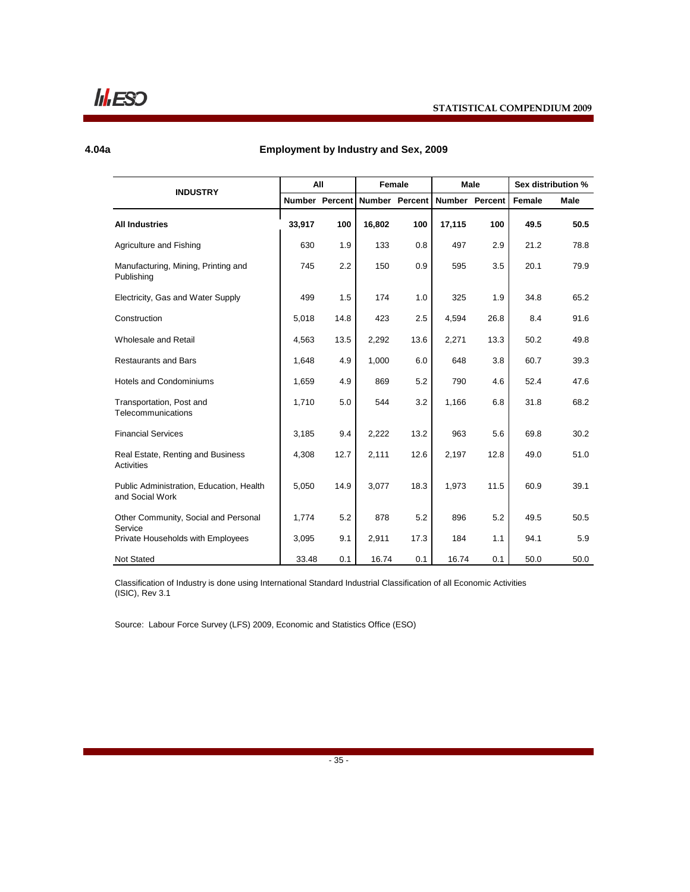$\mathsf{II}$ *IESO* 

#### **4.04a**

### **Employment by Industry and Sex, 2009**

|                                                             |        | All            |        | Female                |        | <b>Male</b>           | Sex distribution % |             |
|-------------------------------------------------------------|--------|----------------|--------|-----------------------|--------|-----------------------|--------------------|-------------|
| <b>INDUSTRY</b>                                             |        | Number Percent |        | <b>Number Percent</b> |        | <b>Number Percent</b> | Female             | <b>Male</b> |
| <b>All Industries</b>                                       | 33,917 | 100            | 16,802 | 100                   | 17,115 | 100                   | 49.5               | 50.5        |
| Agriculture and Fishing                                     | 630    | 1.9            | 133    | 0.8                   | 497    | 2.9                   | 21.2               | 78.8        |
| Manufacturing, Mining, Printing and<br>Publishing           | 745    | 2.2            | 150    | 0.9                   | 595    | 3.5                   | 20.1               | 79.9        |
| Electricity, Gas and Water Supply                           | 499    | 1.5            | 174    | 1.0                   | 325    | 1.9                   | 34.8               | 65.2        |
| Construction                                                | 5,018  | 14.8           | 423    | 2.5                   | 4,594  | 26.8                  | 8.4                | 91.6        |
| Wholesale and Retail                                        | 4,563  | 13.5           | 2,292  | 13.6                  | 2,271  | 13.3                  | 50.2               | 49.8        |
| <b>Restaurants and Bars</b>                                 | 1,648  | 4.9            | 1,000  | 6.0                   | 648    | 3.8                   | 60.7               | 39.3        |
| Hotels and Condominiums                                     | 1,659  | 4.9            | 869    | 5.2                   | 790    | 4.6                   | 52.4               | 47.6        |
| Transportation, Post and<br>Telecommunications              | 1,710  | 5.0            | 544    | 3.2                   | 1,166  | 6.8                   | 31.8               | 68.2        |
| <b>Financial Services</b>                                   | 3,185  | 9.4            | 2,222  | 13.2                  | 963    | 5.6                   | 69.8               | 30.2        |
| Real Estate, Renting and Business<br>Activities             | 4,308  | 12.7           | 2,111  | 12.6                  | 2,197  | 12.8                  | 49.0               | 51.0        |
| Public Administration, Education, Health<br>and Social Work | 5,050  | 14.9           | 3,077  | 18.3                  | 1,973  | 11.5                  | 60.9               | 39.1        |
| Other Community, Social and Personal                        | 1,774  | 5.2            | 878    | 5.2                   | 896    | 5.2                   | 49.5               | 50.5        |
| Service<br>Private Households with Employees                | 3,095  | 9.1            | 2,911  | 17.3                  | 184    | 1.1                   | 94.1               | 5.9         |
| <b>Not Stated</b>                                           | 33.48  | 0.1            | 16.74  | 0.1                   | 16.74  | 0.1                   | 50.0               | 50.0        |

Classification of Industry is done using International Standard Industrial Classification of all Economic Activities (ISIC), Rev 3.1

Source: Labour Force Survey (LFS) 2009, Economic and Statistics Office (ESO)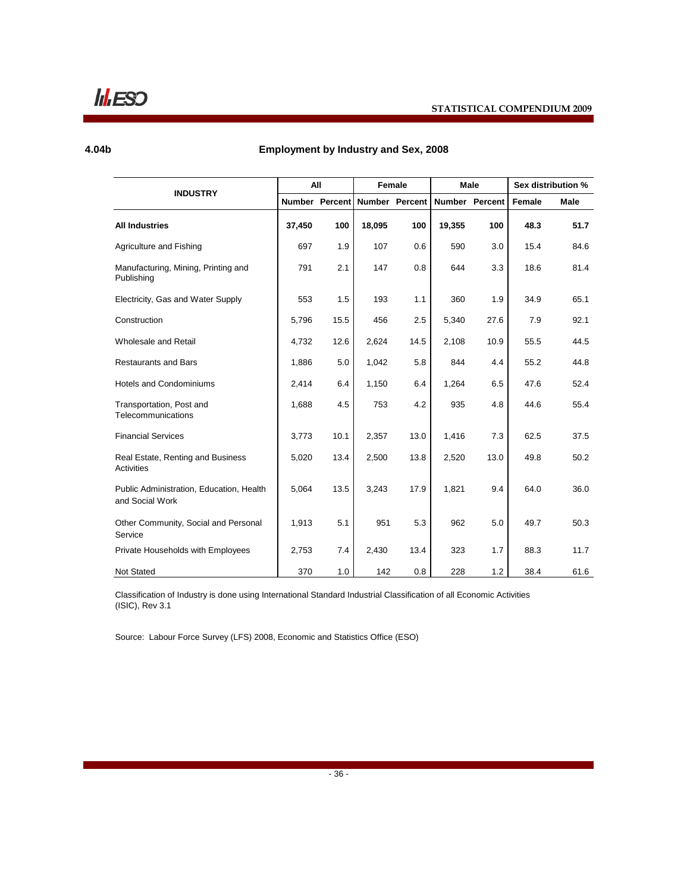$\mathsf{II}$ *IESO* 

#### **4.04b**

### **Employment by Industry and Sex, 2008**

|                                                             |        | All                   |                | Female |        | Male                  | Sex distribution % |      |
|-------------------------------------------------------------|--------|-----------------------|----------------|--------|--------|-----------------------|--------------------|------|
| <b>INDUSTRY</b>                                             |        | <b>Number Percent</b> | Number Percent |        |        | <b>Number Percent</b> | Female             | Male |
| <b>All Industries</b>                                       | 37,450 | 100                   | 18,095         | 100    | 19,355 | 100                   | 48.3               | 51.7 |
| Agriculture and Fishing                                     | 697    | 1.9                   | 107            | 0.6    | 590    | 3.0                   | 15.4               | 84.6 |
| Manufacturing, Mining, Printing and<br>Publishing           | 791    | 2.1                   | 147            | 0.8    | 644    | 3.3                   | 18.6               | 81.4 |
| Electricity, Gas and Water Supply                           | 553    | 1.5                   | 193            | 1.1    | 360    | 1.9                   | 34.9               | 65.1 |
| Construction                                                | 5,796  | 15.5                  | 456            | 2.5    | 5,340  | 27.6                  | 7.9                | 92.1 |
| Wholesale and Retail                                        | 4,732  | 12.6                  | 2,624          | 14.5   | 2,108  | 10.9                  | 55.5               | 44.5 |
| <b>Restaurants and Bars</b>                                 | 1.886  | 5.0                   | 1.042          | 5.8    | 844    | 4.4                   | 55.2               | 44.8 |
| <b>Hotels and Condominiums</b>                              | 2,414  | 6.4                   | 1,150          | 6.4    | 1,264  | 6.5                   | 47.6               | 52.4 |
| Transportation, Post and<br>Telecommunications              | 1,688  | 4.5                   | 753            | 4.2    | 935    | 4.8                   | 44.6               | 55.4 |
| <b>Financial Services</b>                                   | 3,773  | 10.1                  | 2,357          | 13.0   | 1,416  | 7.3                   | 62.5               | 37.5 |
| Real Estate, Renting and Business<br><b>Activities</b>      | 5,020  | 13.4                  | 2,500          | 13.8   | 2,520  | 13.0                  | 49.8               | 50.2 |
| Public Administration, Education, Health<br>and Social Work | 5,064  | 13.5                  | 3,243          | 17.9   | 1,821  | 9.4                   | 64.0               | 36.0 |
| Other Community, Social and Personal<br>Service             | 1,913  | 5.1                   | 951            | 5.3    | 962    | 5.0                   | 49.7               | 50.3 |
| Private Households with Employees                           | 2,753  | 7.4                   | 2,430          | 13.4   | 323    | 1.7                   | 88.3               | 11.7 |
| Not Stated                                                  | 370    | 1.0                   | 142            | 0.8    | 228    | 1.2                   | 38.4               | 61.6 |

Classification of Industry is done using International Standard Industrial Classification of all Economic Activities (ISIC), Rev 3.1

Source: Labour Force Survey (LFS) 2008, Economic and Statistics Office (ESO)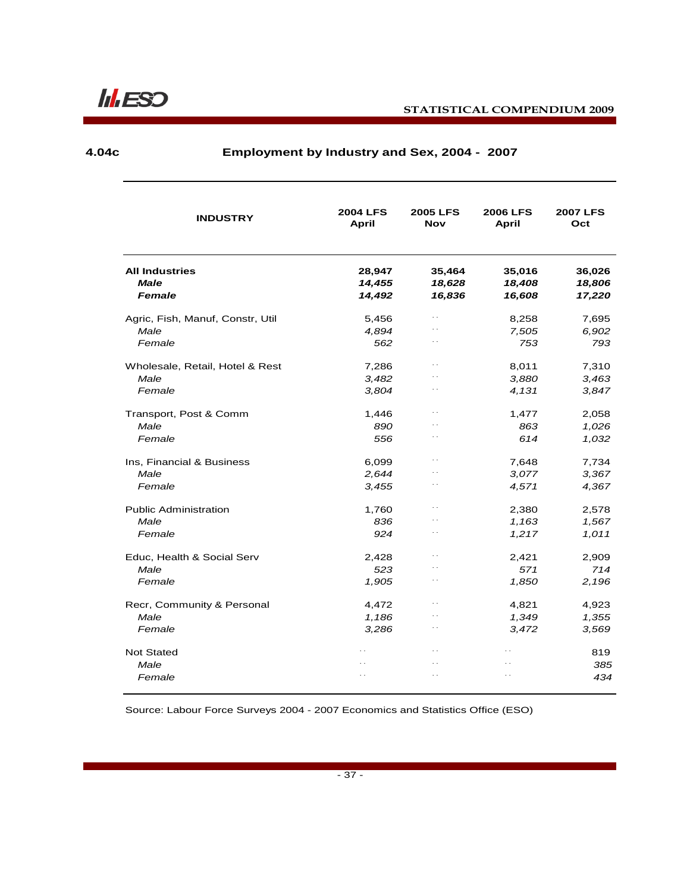**4.04c**

## **Employment by Industry and Sex, 2004 - 2007**

| <b>INDUSTRY</b>                      | <b>2004 LFS</b><br><b>April</b> | <b>2005 LFS</b><br><b>Nov</b> | <b>2006 LFS</b><br><b>April</b> | <b>2007 LFS</b><br>Oct |
|--------------------------------------|---------------------------------|-------------------------------|---------------------------------|------------------------|
| <b>All Industries</b><br><b>Male</b> | 28,947<br>14,455                | 35,464<br>18,628              | 35,016<br>18,408                | 36,026<br>18,806       |
| Female                               | 14,492                          | 16,836                        | 16,608                          | 17,220                 |
| Agric, Fish, Manuf, Constr, Util     | 5,456                           | $\ddotsc$                     | 8,258                           | 7,695                  |
| Male                                 | 4,894                           | $\ddot{\phantom{0}}$          | 7,505                           | 6,902                  |
| Female                               | 562                             | $\ddotsc$                     | 753                             | 793                    |
| Wholesale, Retail, Hotel & Rest      | 7,286                           | $\ddot{\phantom{0}}$          | 8,011                           | 7,310                  |
| Male                                 | 3,482                           |                               | 3,880                           | 3.463                  |
| Female                               | 3,804                           | $\ddot{\phantom{0}}$          | 4,131                           | 3,847                  |
| Transport, Post & Comm               | 1,446                           | $\ddotsc$                     | 1,477                           | 2,058                  |
| Male                                 | 890                             |                               | 863                             | 1,026                  |
| Female                               | 556                             | $\ddot{\phantom{0}}$          | 614                             | 1,032                  |
| Ins, Financial & Business            | 6,099                           | $\ddotsc$                     | 7,648                           | 7,734                  |
| Male                                 | 2.644                           | $\ddotsc$                     | 3.077                           | 3,367                  |
| Female                               | 3.455                           | $\ddotsc$                     | 4,571                           | 4,367                  |
| <b>Public Administration</b>         | 1,760                           | $\ddot{\phantom{a}}$          | 2,380                           | 2,578                  |
| Male                                 | 836                             | $\ddotsc$                     | 1,163                           | 1,567                  |
| Female                               | 924                             | $\ddotsc$                     | 1,217                           | 1,011                  |
| Educ, Health & Social Serv           | 2,428                           | $\ddot{\phantom{0}}$          | 2,421                           | 2,909                  |
| Male                                 | 523                             | $\cdot$ .                     | 571                             | 714                    |
| Female                               | 1,905                           | $\ddotsc$                     | 1,850                           | 2,196                  |
| Recr, Community & Personal           | 4,472                           | $\ddot{\phantom{0}}$          | 4,821                           | 4,923                  |
| Male                                 | 1,186                           | $\ddot{\phantom{0}}$          | 1,349                           | 1,355                  |
| Female                               | 3.286                           | $\ddotsc$                     | 3,472                           | 3,569                  |
| <b>Not Stated</b>                    | $\cdot$ $\cdot$                 | $\ddot{\phantom{a}}$          | $\ddot{\phantom{0}}$            | 819                    |
| Male                                 | $\ddot{\phantom{0}}$            | $\ddotsc$                     | . .                             | 385                    |
| Female                               | $\ddot{\phantom{a}}$            | $\ddot{\phantom{a}}$          | $\ddot{\phantom{0}}$            | 434                    |

Source: Labour Force Surveys 2004 - 2007 Economics and Statistics Office (ESO)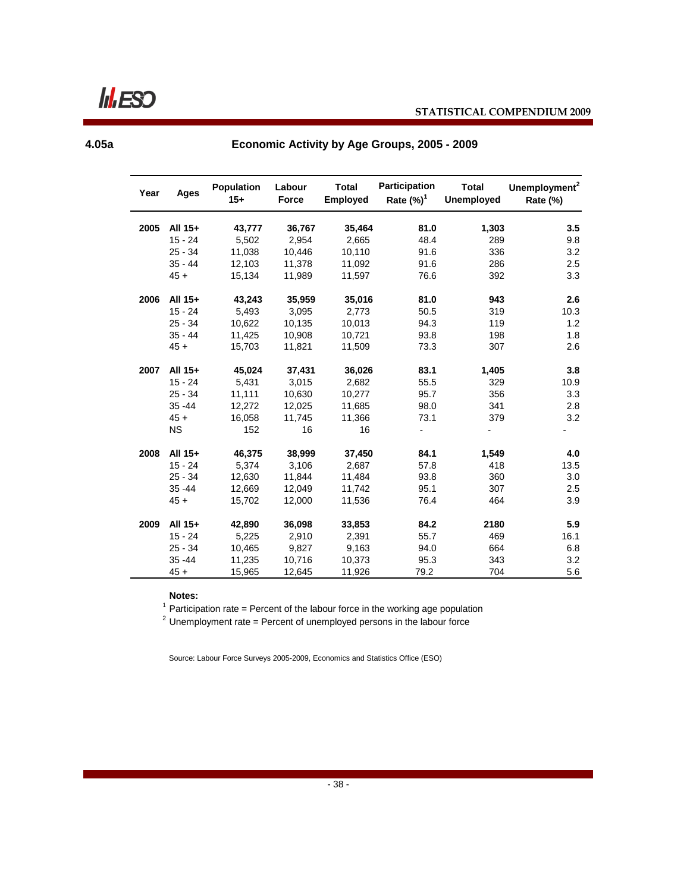**Inflesso** 

**4.05a**

**Economic Activity by Age Groups, 2005 - 2009** 

| Year | Ages      | <b>Population</b><br>$15+$ | Labour<br><b>Force</b> | <b>Total</b><br><b>Employed</b> | <b>Participation</b><br>Rate $(\%)^1$ | <b>Total</b><br><b>Unemployed</b> | Unemployment <sup>2</sup><br>Rate (%) |
|------|-----------|----------------------------|------------------------|---------------------------------|---------------------------------------|-----------------------------------|---------------------------------------|
|      |           |                            |                        |                                 |                                       |                                   |                                       |
| 2005 | All 15+   | 43,777                     | 36,767                 | 35,464                          | 81.0                                  | 1,303                             | 3.5                                   |
|      | $15 - 24$ | 5,502                      | 2,954                  | 2,665                           | 48.4                                  | 289                               | 9.8                                   |
|      | $25 - 34$ | 11,038                     | 10,446                 | 10,110                          | 91.6                                  | 336                               | 3.2                                   |
|      | $35 - 44$ | 12,103                     | 11,378                 | 11,092                          | 91.6                                  | 286                               | 2.5                                   |
|      | $45 +$    | 15,134                     | 11,989                 | 11,597                          | 76.6                                  | 392                               | 3.3                                   |
| 2006 | All 15+   | 43,243                     | 35,959                 | 35,016                          | 81.0                                  | 943                               | 2.6                                   |
|      | $15 - 24$ | 5,493                      | 3,095                  | 2,773                           | 50.5                                  | 319                               | 10.3                                  |
|      | $25 - 34$ | 10,622                     | 10,135                 | 10,013                          | 94.3                                  | 119                               | 1.2                                   |
|      | $35 - 44$ | 11,425                     | 10,908                 | 10,721                          | 93.8                                  | 198                               | 1.8                                   |
|      | $45 +$    | 15,703                     | 11,821                 | 11,509                          | 73.3                                  | 307                               | 2.6                                   |
| 2007 | All 15+   | 45,024                     | 37,431                 | 36,026                          | 83.1                                  | 1,405                             | 3.8                                   |
|      | $15 - 24$ | 5,431                      | 3,015                  | 2,682                           | 55.5                                  | 329                               | 10.9                                  |
|      | $25 - 34$ | 11,111                     | 10,630                 | 10,277                          | 95.7                                  | 356                               | 3.3                                   |
|      | $35 - 44$ | 12,272                     | 12,025                 | 11,685                          | 98.0                                  | 341                               | 2.8                                   |
|      | $45 +$    | 16,058                     | 11,745                 | 11,366                          | 73.1                                  | 379                               | 3.2                                   |
|      | <b>NS</b> | 152                        | 16                     | 16                              |                                       |                                   |                                       |
| 2008 | All 15+   | 46,375                     | 38,999                 | 37,450                          | 84.1                                  | 1,549                             | 4.0                                   |
|      | $15 - 24$ | 5,374                      | 3,106                  | 2,687                           | 57.8                                  | 418                               | 13.5                                  |
|      | $25 - 34$ | 12,630                     | 11,844                 | 11,484                          | 93.8                                  | 360                               | 3.0                                   |
|      | $35 - 44$ | 12,669                     | 12,049                 | 11,742                          | 95.1                                  | 307                               | 2.5                                   |
|      | $45 +$    | 15,702                     | 12,000                 | 11,536                          | 76.4                                  | 464                               | 3.9                                   |
| 2009 | All 15+   | 42,890                     | 36,098                 | 33,853                          | 84.2                                  | 2180                              | 5.9                                   |
|      | $15 - 24$ | 5,225                      | 2,910                  | 2,391                           | 55.7                                  | 469                               | 16.1                                  |
|      | $25 - 34$ | 10,465                     | 9,827                  | 9,163                           | 94.0                                  | 664                               | 6.8                                   |
|      | $35 - 44$ | 11,235                     | 10,716                 | 10,373                          | 95.3                                  | 343                               | 3.2                                   |
|      | $45 +$    | 15,965                     | 12,645                 | 11,926                          | 79.2                                  | 704                               | 5.6                                   |

**Notes:**

<sup>1</sup> Participation rate = Percent of the labour force in the working age population<br><sup>2</sup> Unemployment rate = Percent of unemployed persons in the labour force

Source: Labour Force Surveys 2005-2009, Economics and Statistics Office (ESO)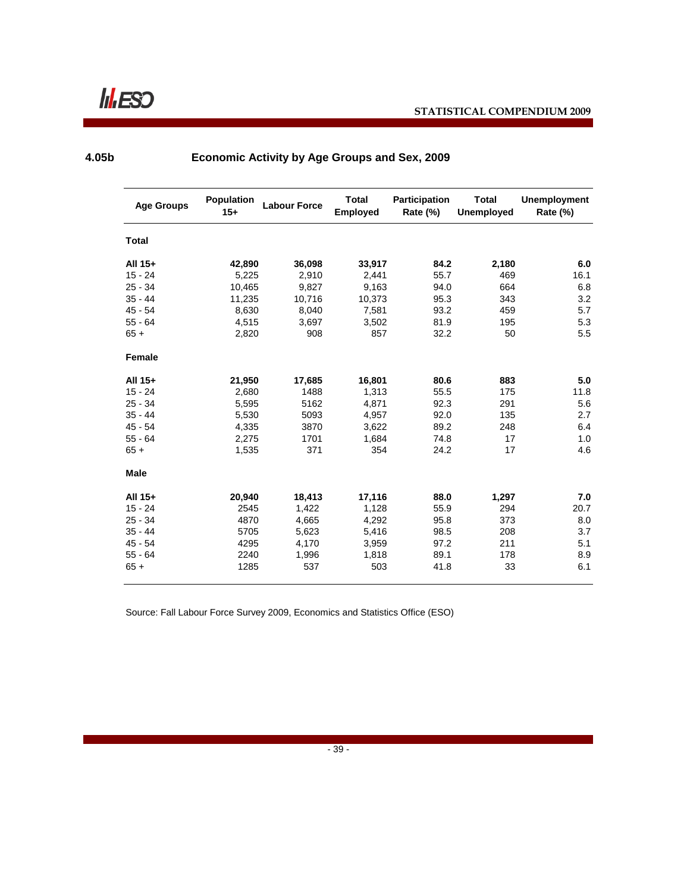

**4.05b**

| <b>Age Groups</b> | Population<br>$15+$ | <b>Labour Force</b> | <b>Total</b><br><b>Employed</b> | <b>Participation</b><br><b>Rate (%)</b> | <b>Total</b><br><b>Unemployed</b> | <b>Unemployment</b><br>Rate (%) |
|-------------------|---------------------|---------------------|---------------------------------|-----------------------------------------|-----------------------------------|---------------------------------|
| <b>Total</b>      |                     |                     |                                 |                                         |                                   |                                 |
| All 15+           | 42,890              | 36,098              | 33,917                          | 84.2                                    | 2,180                             | 6.0                             |
| $15 - 24$         | 5,225               | 2,910               | 2,441                           | 55.7                                    | 469                               | 16.1                            |
| $25 - 34$         | 10,465              | 9,827               | 9,163                           | 94.0                                    | 664                               | 6.8                             |
| $35 - 44$         | 11,235              | 10,716              | 10,373                          | 95.3                                    | 343                               | 3.2                             |
| $45 - 54$         | 8,630               | 8,040               | 7,581                           | 93.2                                    | 459                               | 5.7                             |
| $55 - 64$         | 4,515               | 3.697               | 3,502                           | 81.9                                    | 195                               | 5.3                             |
| $65 +$            | 2,820               | 908                 | 857                             | 32.2                                    | 50                                | 5.5                             |
| <b>Female</b>     |                     |                     |                                 |                                         |                                   |                                 |
| All 15+           | 21,950              | 17,685              | 16,801                          | 80.6                                    | 883                               | 5.0                             |
| $15 - 24$         | 2,680               | 1488                | 1,313                           | 55.5                                    | 175                               | 11.8                            |
| $25 - 34$         | 5,595               | 5162                | 4,871                           | 92.3                                    | 291                               | 5.6                             |
| $35 - 44$         | 5,530               | 5093                | 4,957                           | 92.0                                    | 135                               | 2.7                             |
| $45 - 54$         | 4,335               | 3870                | 3,622                           | 89.2                                    | 248                               | 6.4                             |
| $55 - 64$         | 2,275               | 1701                | 1,684                           | 74.8                                    | 17                                | 1.0                             |
| $65 +$            | 1,535               | 371                 | 354                             | 24.2                                    | 17                                | 4.6                             |
| Male              |                     |                     |                                 |                                         |                                   |                                 |
| All 15+           | 20,940              | 18,413              | 17,116                          | 88.0                                    | 1,297                             | 7.0                             |
| $15 - 24$         | 2545                | 1,422               | 1,128                           | 55.9                                    | 294                               | 20.7                            |
| $25 - 34$         | 4870                | 4,665               | 4,292                           | 95.8                                    | 373                               | 8.0                             |
| $35 - 44$         | 5705                | 5,623               | 5,416                           | 98.5                                    | 208                               | 3.7                             |
| $45 - 54$         | 4295                | 4,170               | 3,959                           | 97.2                                    | 211                               | 5.1                             |
| $55 - 64$         | 2240                | 1,996               | 1,818                           | 89.1                                    | 178                               | 8.9                             |
| $65 +$            | 1285                | 537                 | 503                             | 41.8                                    | 33                                | 6.1                             |

# **Economic Activity by Age Groups and Sex, 2009**

Source: Fall Labour Force Survey 2009, Economics and Statistics Office (ESO)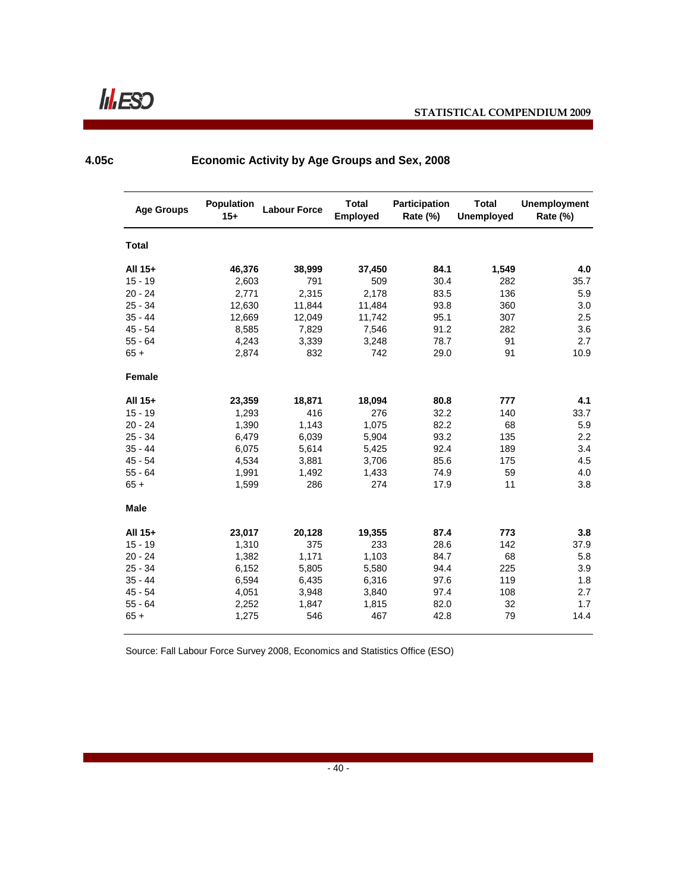**4.05c**

| <b>Age Groups</b> | <b>Population</b><br>$15+$ | <b>Labour Force</b> | <b>Total</b><br><b>Employed</b> | Participation<br>Rate (%) | <b>Total</b><br><b>Unemployed</b> | <b>Unemployment</b><br>Rate (%) |
|-------------------|----------------------------|---------------------|---------------------------------|---------------------------|-----------------------------------|---------------------------------|
| <b>Total</b>      |                            |                     |                                 |                           |                                   |                                 |
| All 15+           | 46,376                     | 38,999              | 37,450                          | 84.1                      | 1,549                             | 4.0                             |
| $15 - 19$         | 2,603                      | 791                 | 509                             | 30.4                      | 282                               | 35.7                            |
| $20 - 24$         | 2,771                      | 2,315               | 2,178                           | 83.5                      | 136                               | 5.9                             |
| $25 - 34$         | 12,630                     | 11,844              | 11,484                          | 93.8                      | 360                               | 3.0                             |
| $35 - 44$         | 12,669                     | 12,049              | 11,742                          | 95.1                      | 307                               | 2.5                             |
| $45 - 54$         | 8,585                      | 7,829               | 7,546                           | 91.2                      | 282                               | 3.6                             |
| $55 - 64$         | 4,243                      | 3,339               | 3,248                           | 78.7                      | 91                                | 2.7                             |
| $65 +$            | 2,874                      | 832                 | 742                             | 29.0                      | 91                                | 10.9                            |
| Female            |                            |                     |                                 |                           |                                   |                                 |
| All 15+           | 23,359                     | 18,871              | 18,094                          | 80.8                      | 777                               | 4.1                             |
| $15 - 19$         | 1,293                      | 416                 | 276                             | 32.2                      | 140                               | 33.7                            |
| $20 - 24$         | 1,390                      | 1,143               | 1,075                           | 82.2                      | 68                                | 5.9                             |
| $25 - 34$         | 6,479                      | 6,039               | 5,904                           | 93.2                      | 135                               | 2.2                             |
| $35 - 44$         | 6,075                      | 5,614               | 5,425                           | 92.4                      | 189                               | 3.4                             |
| $45 - 54$         | 4,534                      | 3,881               | 3,706                           | 85.6                      | 175                               | 4.5                             |
| $55 - 64$         | 1,991                      | 1,492               | 1,433                           | 74.9                      | 59                                | 4.0                             |
| $65 +$            | 1,599                      | 286                 | 274                             | 17.9                      | 11                                | 3.8                             |
| Male              |                            |                     |                                 |                           |                                   |                                 |
| All 15+           | 23,017                     | 20,128              | 19,355                          | 87.4                      | 773                               | 3.8                             |
| $15 - 19$         | 1,310                      | 375                 | 233                             | 28.6                      | 142                               | 37.9                            |
| $20 - 24$         | 1,382                      | 1,171               | 1,103                           | 84.7                      | 68                                | 5.8                             |
| $25 - 34$         | 6,152                      | 5,805               | 5,580                           | 94.4                      | 225                               | 3.9                             |
| $35 - 44$         | 6,594                      | 6,435               | 6,316                           | 97.6                      | 119                               | 1.8                             |
| $45 - 54$         | 4,051                      | 3,948               | 3,840                           | 97.4                      | 108                               | 2.7                             |
| $55 - 64$         | 2,252                      | 1,847               | 1,815                           | 82.0                      | 32                                | 1.7                             |
| $65 +$            | 1,275                      | 546                 | 467                             | 42.8                      | 79                                | 14.4                            |

## **Economic Activity by Age Groups and Sex, 2008**

Source: Fall Labour Force Survey 2008, Economics and Statistics Office (ESO)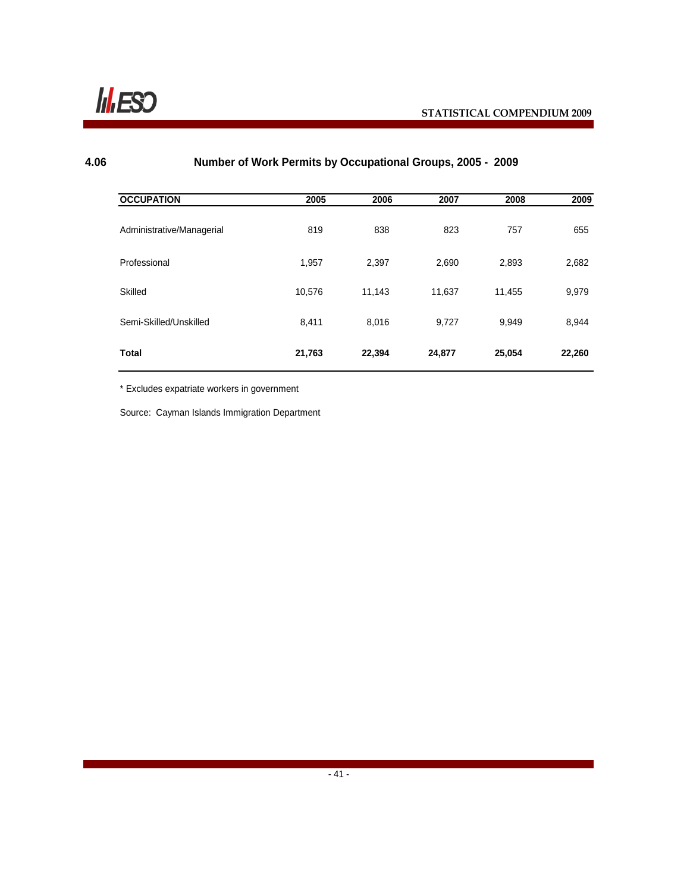

#### **4.06 Number of Work Permits by Occupational Groups, 2005 - 2009**

| <b>OCCUPATION</b>         | 2005   | 2006   | 2007   | 2008   | 2009   |
|---------------------------|--------|--------|--------|--------|--------|
| Administrative/Managerial | 819    | 838    | 823    | 757    | 655    |
| Professional              | 1,957  | 2,397  | 2,690  | 2,893  | 2,682  |
| Skilled                   | 10,576 | 11,143 | 11,637 | 11,455 | 9,979  |
| Semi-Skilled/Unskilled    | 8,411  | 8,016  | 9,727  | 9,949  | 8,944  |
| <b>Total</b>              | 21,763 | 22,394 | 24,877 | 25,054 | 22,260 |

\* Excludes expatriate workers in government

Source: Cayman Islands Immigration Department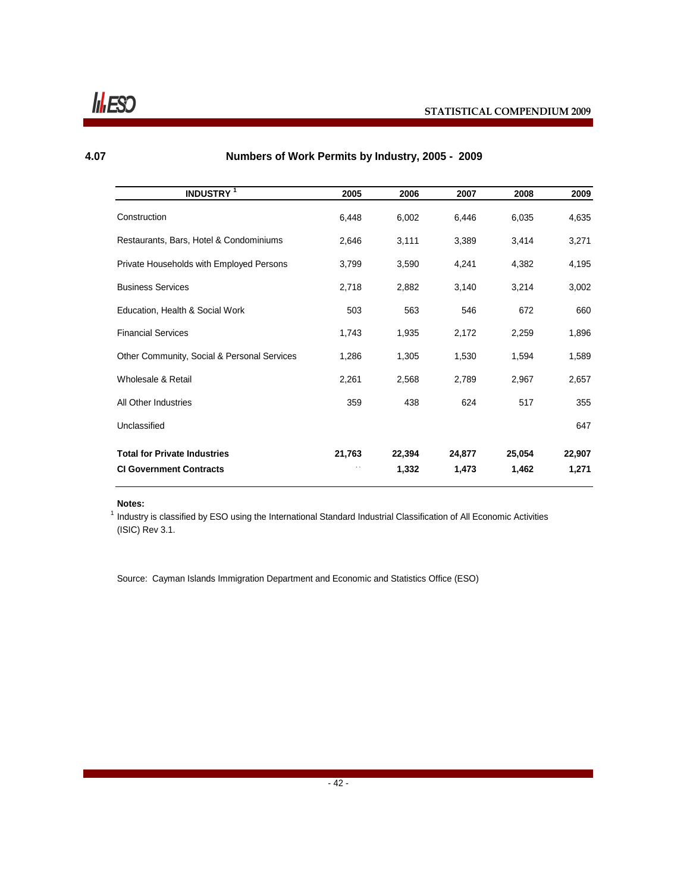## **4.07**

# **Numbers of Work Permits by Industry, 2005 - 2009**

| <b>INDUSTRY<sup>1</sup></b>                 | 2005   | 2006   | 2007   | 2008   | 2009   |
|---------------------------------------------|--------|--------|--------|--------|--------|
| Construction                                | 6,448  | 6,002  | 6,446  | 6,035  | 4,635  |
| Restaurants, Bars, Hotel & Condominiums     | 2,646  | 3,111  | 3,389  | 3,414  | 3,271  |
| Private Households with Employed Persons    | 3,799  | 3,590  | 4,241  | 4,382  | 4,195  |
| <b>Business Services</b>                    | 2,718  | 2,882  | 3,140  | 3,214  | 3,002  |
| Education, Health & Social Work             | 503    | 563    | 546    | 672    | 660    |
| <b>Financial Services</b>                   | 1,743  | 1,935  | 2,172  | 2,259  | 1,896  |
| Other Community, Social & Personal Services | 1,286  | 1,305  | 1,530  | 1,594  | 1,589  |
| Wholesale & Retail                          | 2,261  | 2,568  | 2,789  | 2,967  | 2,657  |
| All Other Industries                        | 359    | 438    | 624    | 517    | 355    |
| Unclassified                                |        |        |        |        | 647    |
| <b>Total for Private Industries</b>         | 21,763 | 22,394 | 24,877 | 25,054 | 22,907 |
| <b>CI Government Contracts</b>              |        | 1,332  | 1,473  | 1,462  | 1,271  |

#### **Notes:**

<sup>1</sup> Industry is classified by ESO using the International Standard Industrial Classification of All Economic Activities (ISIC) Rev 3.1.

Source: Cayman Islands Immigration Department and Economic and Statistics Office (ESO)